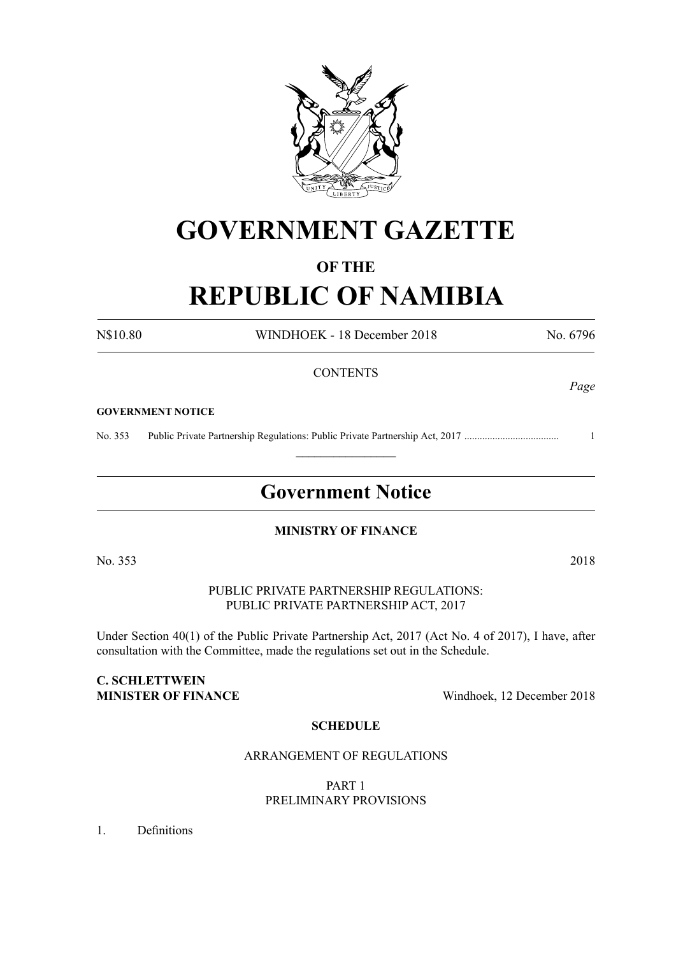

## **GOVERNMENT GAZETTE**

## **OF THE**

# **REPUBLIC OF NAMIBIA**

N\$10.80 WINDHOEK - 18 December 2018 No. 6796 **CONTENTS** 

#### **GOVERNMENT NOTICE**

No. 353 Public Private Partnership Regulations: Public Private Partnership Act, 2017 ..................................... 1

## **Government Notice**

 $\frac{1}{2}$ 

## **MINISTRY OF FINANCE**

No. 353 2018

## PUBLIC PRIVATE PARTNERSHIP REGULATIONS: PUBLIC PRIVATE PARTNERSHIP ACT, 2017

Under Section 40(1) of the Public Private Partnership Act, 2017 (Act No. 4 of 2017), I have, after consultation with the Committee, made the regulations set out in the Schedule.

## **C. SCHLETTWEIN**

**MINISTER OF FINANCE** Windhoek, 12 December 2018

## **SCHEDULE**

## ARRANGEMENT OF REGULATIONS

PART 1 PRELIMINARY PROVISIONS

1. Definitions

*Page*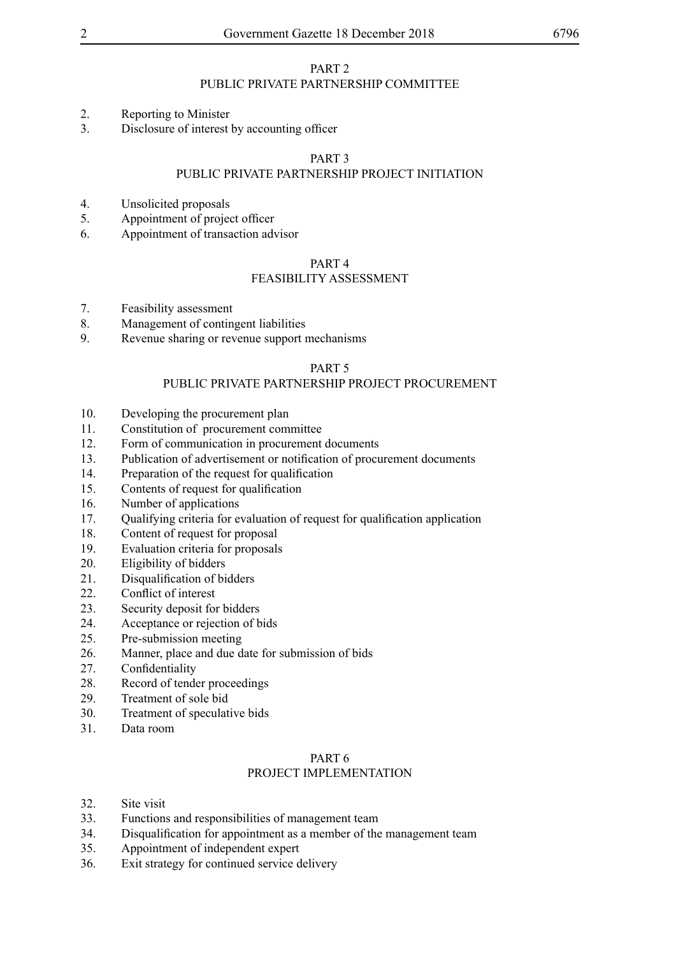## PART 2

## PUBLIC PRIVATE PARTNERSHIP COMMITTEE

- 2. Reporting to Minister
- 3. Disclosure of interest by accounting officer

## PART 3

## PUBLIC PRIVATE PARTNERSHIP PROJECT INITIATION

- 4. Unsolicited proposals
- 5. Appointment of project officer
- 6. Appointment of transaction advisor

#### PART 4 FEASIBILITY ASSESSMENT

- 7. Feasibility assessment
- 8. Management of contingent liabilities
- 9. Revenue sharing or revenue support mechanisms

## PART 5

## PUBLIC PRIVATE PARTNERSHIP PROJECT PROCUREMENT

- 10. Developing the procurement plan
- 11. Constitution of procurement committee
- 12. Form of communication in procurement documents
- 13. Publication of advertisement or notification of procurement documents
- 14. Preparation of the request for qualification
- 15. Contents of request for qualification
- 16. Number of applications
- 17. Qualifying criteria for evaluation of request for qualification application
- 18. Content of request for proposal
- 19. Evaluation criteria for proposals
- 20. Eligibility of bidders
- 21. Disqualification of bidders
- 22. Conflict of interest
- 23. Security deposit for bidders
- 24. Acceptance or rejection of bids
- 25. Pre-submission meeting
- 26. Manner, place and due date for submission of bids
- 27. Confidentiality
- 28. Record of tender proceedings
- 29. Treatment of sole bid
- 30. Treatment of speculative bids
- 31. Data room

#### PART 6

## PROJECT IMPLEMENTATION

- 32. Site visit
- 33. Functions and responsibilities of management team
- 34. Disqualification for appointment as a member of the management team
- 35. Appointment of independent expert
- 36. Exit strategy for continued service delivery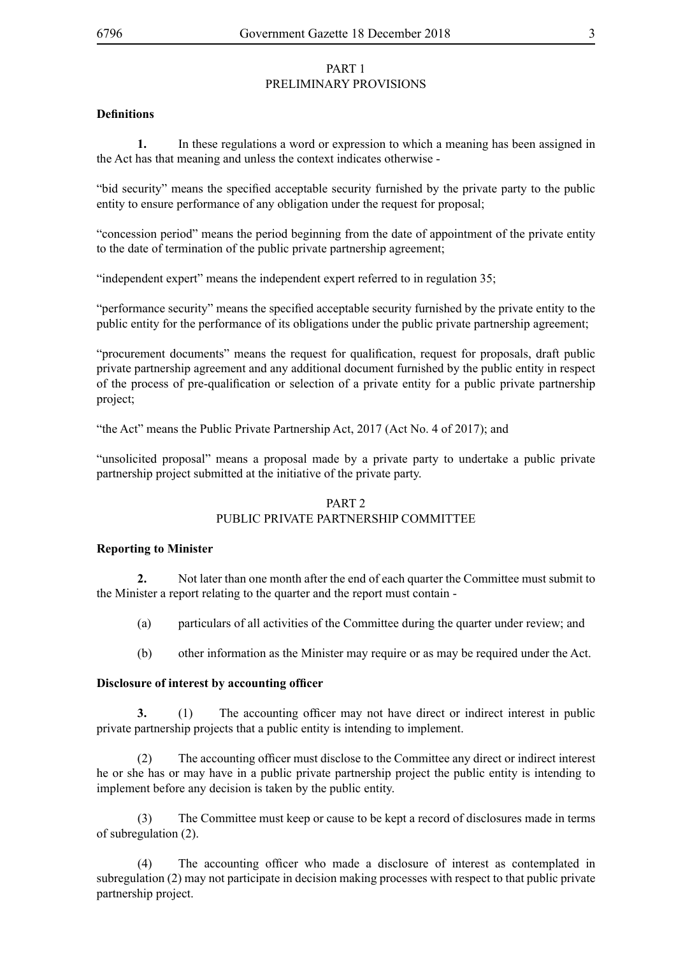## PART 1 PRELIMINARY PROVISIONS

## **Definitions**

**1.** In these regulations a word or expression to which a meaning has been assigned in the Act has that meaning and unless the context indicates otherwise -

"bid security" means the specified acceptable security furnished by the private party to the public entity to ensure performance of any obligation under the request for proposal;

"concession period" means the period beginning from the date of appointment of the private entity to the date of termination of the public private partnership agreement;

"independent expert" means the independent expert referred to in regulation 35;

"performance security" means the specified acceptable security furnished by the private entity to the public entity for the performance of its obligations under the public private partnership agreement;

"procurement documents" means the request for qualification, request for proposals, draft public private partnership agreement and any additional document furnished by the public entity in respect of the process of pre-qualification or selection of a private entity for a public private partnership project;

"the Act" means the Public Private Partnership Act, 2017 (Act No. 4 of 2017); and

"unsolicited proposal" means a proposal made by a private party to undertake a public private partnership project submitted at the initiative of the private party.

## PART 2

## PUBLIC PRIVATE PARTNERSHIP COMMITTEE

## **Reporting to Minister**

**2.** Not later than one month after the end of each quarter the Committee must submit to the Minister a report relating to the quarter and the report must contain -

- (a) particulars of all activities of the Committee during the quarter under review; and
- (b) other information as the Minister may require or as may be required under the Act.

## **Disclosure of interest by accounting officer**

**3.** (1) The accounting officer may not have direct or indirect interest in public private partnership projects that a public entity is intending to implement.

(2) The accounting officer must disclose to the Committee any direct or indirect interest he or she has or may have in a public private partnership project the public entity is intending to implement before any decision is taken by the public entity.

(3) The Committee must keep or cause to be kept a record of disclosures made in terms of subregulation (2).

(4) The accounting officer who made a disclosure of interest as contemplated in subregulation (2) may not participate in decision making processes with respect to that public private partnership project.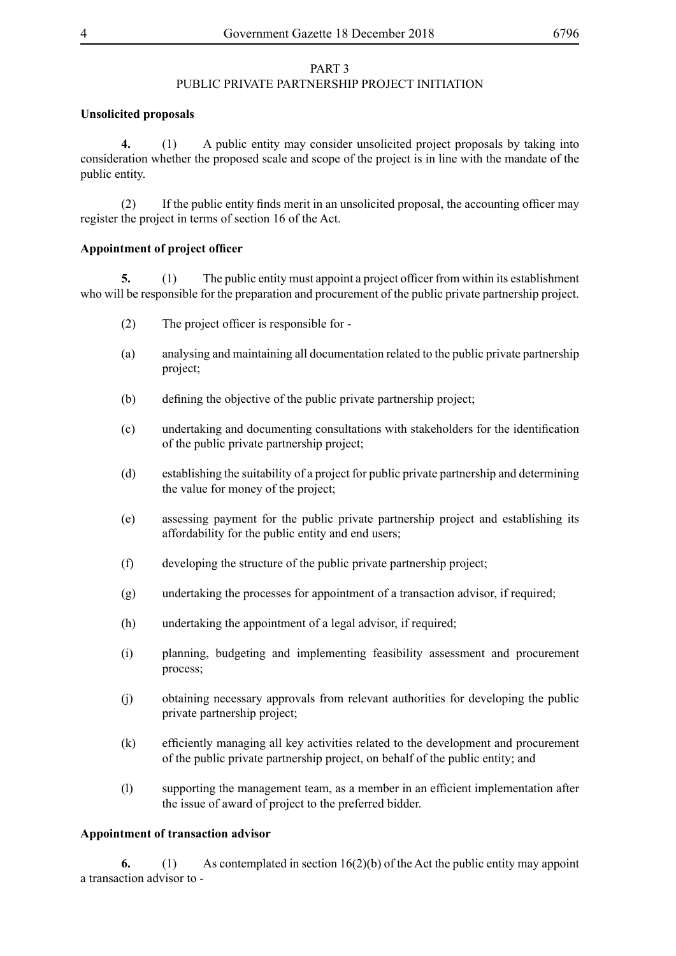## PART 3 PUBLIC PRIVATE PARTNERSHIP PROJECT INITIATION

## **Unsolicited proposals**

**4.** (1) A public entity may consider unsolicited project proposals by taking into consideration whether the proposed scale and scope of the project is in line with the mandate of the public entity.

(2) If the public entity finds merit in an unsolicited proposal, the accounting officer may register the project in terms of section 16 of the Act.

## **Appointment of project officer**

**5.** (1) The public entity must appoint a project officer from within its establishment who will be responsible for the preparation and procurement of the public private partnership project.

- (2) The project officer is responsible for -
- (a) analysing and maintaining all documentation related to the public private partnership project;
- (b) defining the objective of the public private partnership project;
- (c) undertaking and documenting consultations with stakeholders for the identification of the public private partnership project;
- (d) establishing the suitability of a project for public private partnership and determining the value for money of the project;
- (e) assessing payment for the public private partnership project and establishing its affordability for the public entity and end users;
- (f) developing the structure of the public private partnership project;
- (g) undertaking the processes for appointment of a transaction advisor, if required;
- (h) undertaking the appointment of a legal advisor, if required;
- (i) planning, budgeting and implementing feasibility assessment and procurement process;
- (j) obtaining necessary approvals from relevant authorities for developing the public private partnership project;
- (k) efficiently managing all key activities related to the development and procurement of the public private partnership project, on behalf of the public entity; and
- (l) supporting the management team, as a member in an efficient implementation after the issue of award of project to the preferred bidder.

## **Appointment of transaction advisor**

**6.** (1) As contemplated in section 16(2)(b) of the Act the public entity may appoint a transaction advisor to -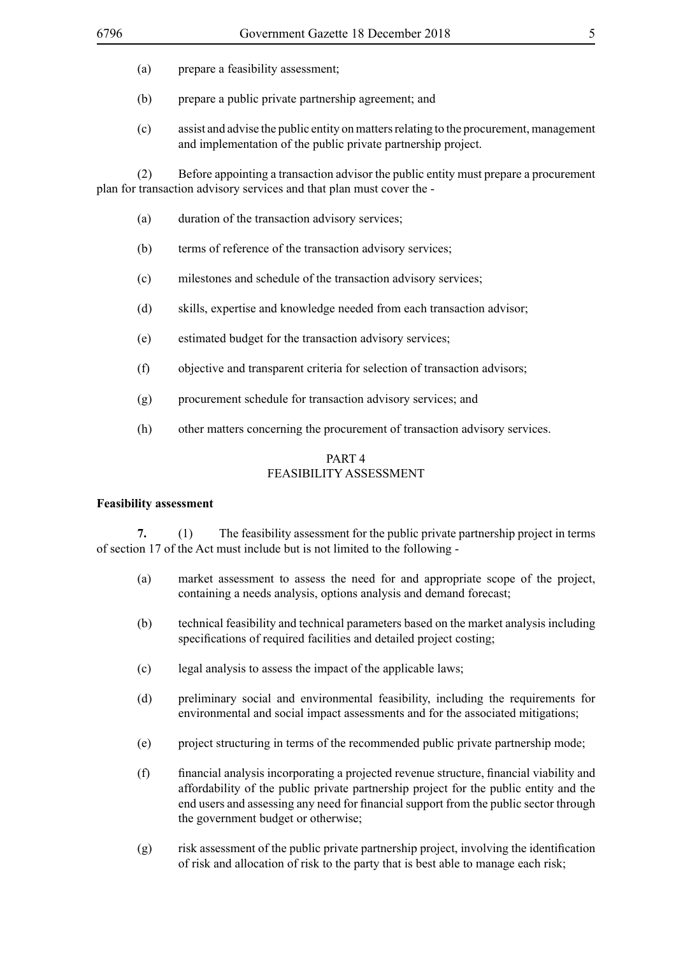- (a) prepare a feasibility assessment;
- (b) prepare a public private partnership agreement; and
- (c) assist and advise the public entity on matters relating to the procurement, management and implementation of the public private partnership project.

(2) Before appointing a transaction advisor the public entity must prepare a procurement plan for transaction advisory services and that plan must cover the -

- (a) duration of the transaction advisory services;
- (b) terms of reference of the transaction advisory services;
- (c) milestones and schedule of the transaction advisory services;
- (d) skills, expertise and knowledge needed from each transaction advisor;
- (e) estimated budget for the transaction advisory services;
- (f) objective and transparent criteria for selection of transaction advisors;
- (g) procurement schedule for transaction advisory services; and
- (h) other matters concerning the procurement of transaction advisory services.

## PART 4 FEASIBILITY ASSESSMENT

#### **Feasibility assessment**

**7.** (1) The feasibility assessment for the public private partnership project in terms of section 17 of the Act must include but is not limited to the following -

- (a) market assessment to assess the need for and appropriate scope of the project, containing a needs analysis, options analysis and demand forecast;
- (b) technical feasibility and technical parameters based on the market analysis including specifications of required facilities and detailed project costing;
- (c) legal analysis to assess the impact of the applicable laws;
- (d) preliminary social and environmental feasibility, including the requirements for environmental and social impact assessments and for the associated mitigations;
- (e) project structuring in terms of the recommended public private partnership mode;
- (f) financial analysis incorporating a projected revenue structure, financial viability and affordability of the public private partnership project for the public entity and the end users and assessing any need for financial support from the public sector through the government budget or otherwise;
- (g) risk assessment of the public private partnership project, involving the identification of risk and allocation of risk to the party that is best able to manage each risk;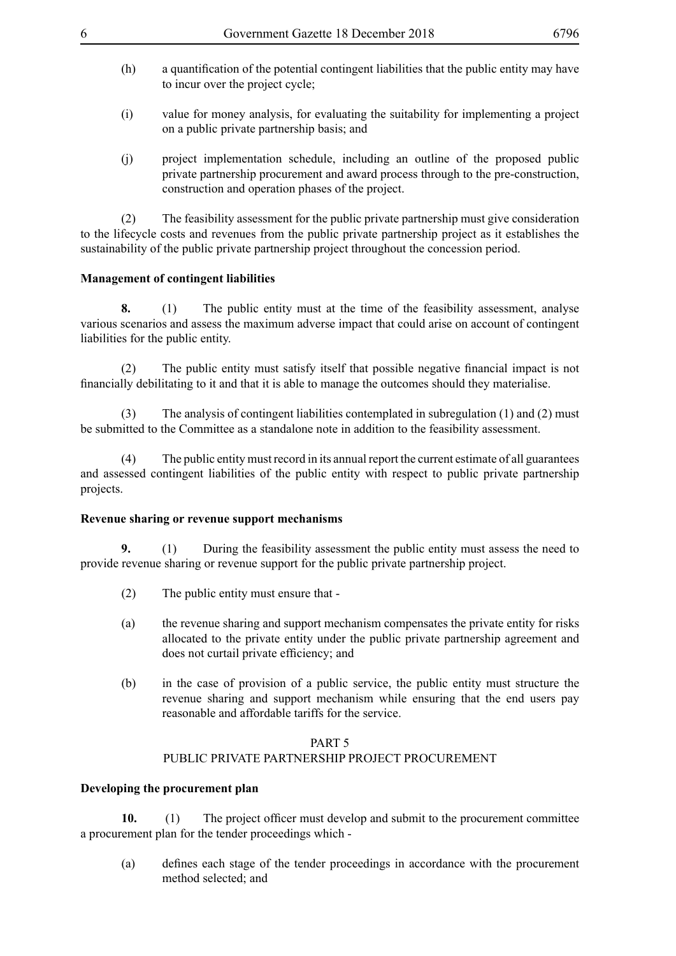- (h) a quantification of the potential contingent liabilities that the public entity may have to incur over the project cycle;
- (i) value for money analysis, for evaluating the suitability for implementing a project on a public private partnership basis; and
- (j) project implementation schedule, including an outline of the proposed public private partnership procurement and award process through to the pre-construction, construction and operation phases of the project.

(2) The feasibility assessment for the public private partnership must give consideration to the lifecycle costs and revenues from the public private partnership project as it establishes the sustainability of the public private partnership project throughout the concession period.

## **Management of contingent liabilities**

**8.** (1) The public entity must at the time of the feasibility assessment, analyse various scenarios and assess the maximum adverse impact that could arise on account of contingent liabilities for the public entity.

(2) The public entity must satisfy itself that possible negative financial impact is not financially debilitating to it and that it is able to manage the outcomes should they materialise.

(3) The analysis of contingent liabilities contemplated in subregulation (1) and (2) must be submitted to the Committee as a standalone note in addition to the feasibility assessment.

(4) The public entity must record in its annual report the current estimate of all guarantees and assessed contingent liabilities of the public entity with respect to public private partnership projects.

#### **Revenue sharing or revenue support mechanisms**

**9.** (1) During the feasibility assessment the public entity must assess the need to provide revenue sharing or revenue support for the public private partnership project.

- (2) The public entity must ensure that -
- (a) the revenue sharing and support mechanism compensates the private entity for risks allocated to the private entity under the public private partnership agreement and does not curtail private efficiency; and
- (b) in the case of provision of a public service, the public entity must structure the revenue sharing and support mechanism while ensuring that the end users pay reasonable and affordable tariffs for the service.

#### PART 5 PUBLIC PRIVATE PARTNERSHIP PROJECT PROCUREMENT

## **Developing the procurement plan**

**10.** (1) The project officer must develop and submit to the procurement committee a procurement plan for the tender proceedings which -

(a) defines each stage of the tender proceedings in accordance with the procurement method selected; and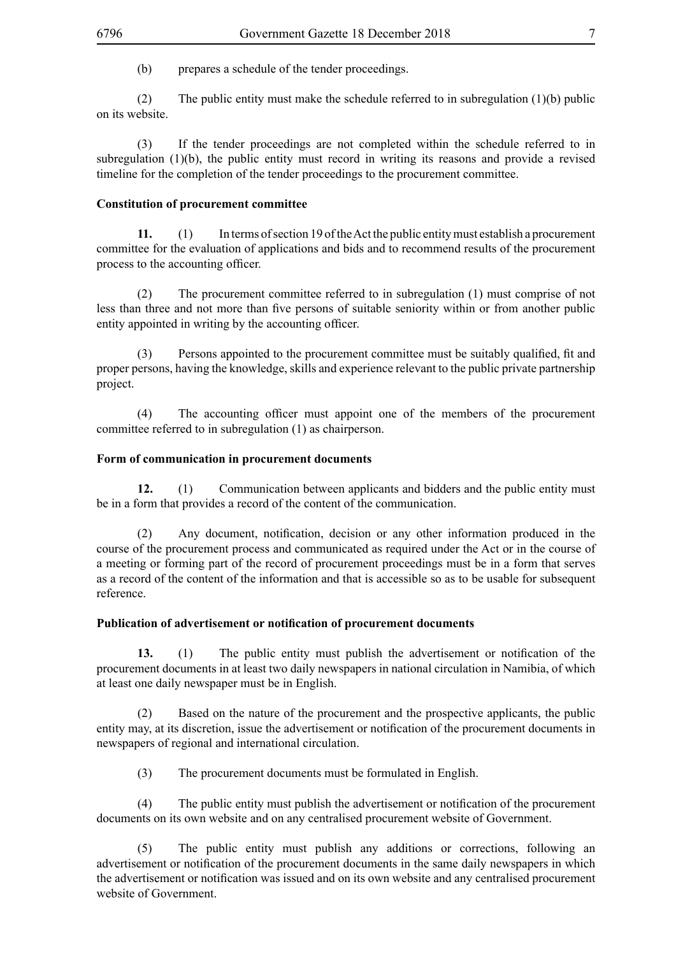(b) prepares a schedule of the tender proceedings.

(2) The public entity must make the schedule referred to in subregulation (1)(b) public on its website.

(3) If the tender proceedings are not completed within the schedule referred to in subregulation (1)(b), the public entity must record in writing its reasons and provide a revised timeline for the completion of the tender proceedings to the procurement committee.

## **Constitution of procurement committee**

**11.** (1) In terms of section 19 of the Act the public entity must establish a procurement committee for the evaluation of applications and bids and to recommend results of the procurement process to the accounting officer.

(2) The procurement committee referred to in subregulation (1) must comprise of not less than three and not more than five persons of suitable seniority within or from another public entity appointed in writing by the accounting officer.

(3) Persons appointed to the procurement committee must be suitably qualified, fit and proper persons, having the knowledge, skills and experience relevant to the public private partnership project.

(4) The accounting officer must appoint one of the members of the procurement committee referred to in subregulation (1) as chairperson.

## **Form of communication in procurement documents**

**12.** (1) Communication between applicants and bidders and the public entity must be in a form that provides a record of the content of the communication.

(2) Any document, notification, decision or any other information produced in the course of the procurement process and communicated as required under the Act or in the course of a meeting or forming part of the record of procurement proceedings must be in a form that serves as a record of the content of the information and that is accessible so as to be usable for subsequent reference.

## **Publication of advertisement or notification of procurement documents**

**13.** (1) The public entity must publish the advertisement or notification of the procurement documents in at least two daily newspapers in national circulation in Namibia, of which at least one daily newspaper must be in English.

(2) Based on the nature of the procurement and the prospective applicants, the public entity may, at its discretion, issue the advertisement or notification of the procurement documents in newspapers of regional and international circulation.

(3) The procurement documents must be formulated in English.

(4) The public entity must publish the advertisement or notification of the procurement documents on its own website and on any centralised procurement website of Government.

(5) The public entity must publish any additions or corrections, following an advertisement or notification of the procurement documents in the same daily newspapers in which the advertisement or notification was issued and on its own website and any centralised procurement website of Government.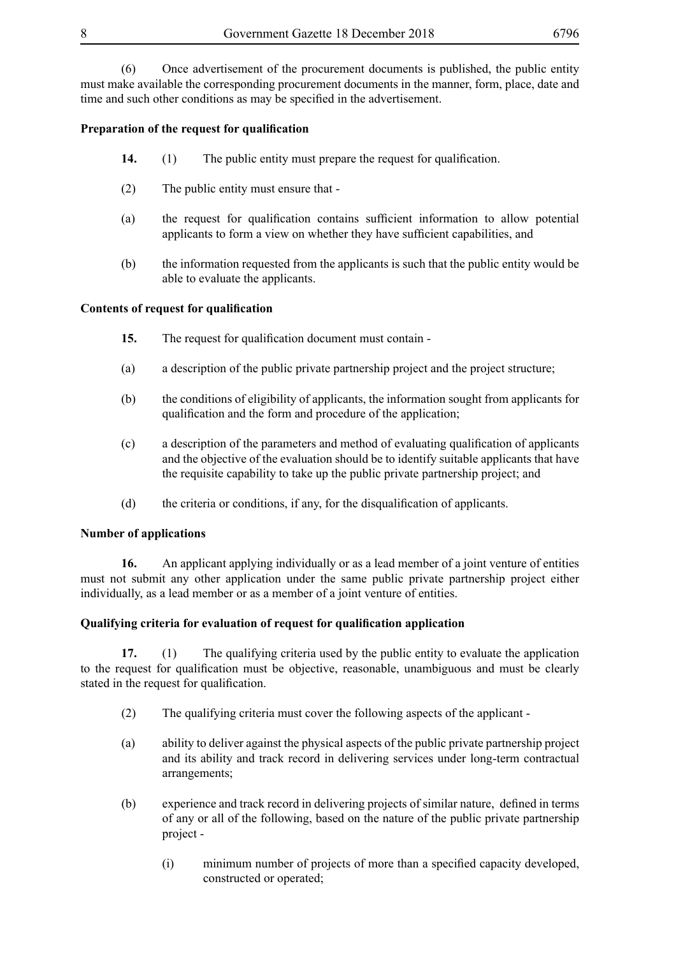(6) Once advertisement of the procurement documents is published, the public entity must make available the corresponding procurement documents in the manner, form, place, date and time and such other conditions as may be specified in the advertisement.

## **Preparation of the request for qualification**

- **14.** (1) The public entity must prepare the request for qualification.
- (2) The public entity must ensure that -
- (a) the request for qualification contains sufficient information to allow potential applicants to form a view on whether they have sufficient capabilities, and
- (b) the information requested from the applicants is such that the public entity would be able to evaluate the applicants.

## **Contents of request for qualification**

- **15.** The request for qualification document must contain -
- (a) a description of the public private partnership project and the project structure;
- (b) the conditions of eligibility of applicants, the information sought from applicants for qualification and the form and procedure of the application;
- (c) a description of the parameters and method of evaluating qualification of applicants and the objective of the evaluation should be to identify suitable applicants that have the requisite capability to take up the public private partnership project; and
- (d) the criteria or conditions, if any, for the disqualification of applicants.

## **Number of applications**

**16.** An applicant applying individually or as a lead member of a joint venture of entities must not submit any other application under the same public private partnership project either individually, as a lead member or as a member of a joint venture of entities.

## **Qualifying criteria for evaluation of request for qualification application**

**17.** (1) The qualifying criteria used by the public entity to evaluate the application to the request for qualification must be objective, reasonable, unambiguous and must be clearly stated in the request for qualification.

- (2) The qualifying criteria must cover the following aspects of the applicant -
- (a) ability to deliver against the physical aspects of the public private partnership project and its ability and track record in delivering services under long-term contractual arrangements;
- (b) experience and track record in delivering projects of similar nature, defined in terms of any or all of the following, based on the nature of the public private partnership project -
	- (i) minimum number of projects of more than a specified capacity developed, constructed or operated;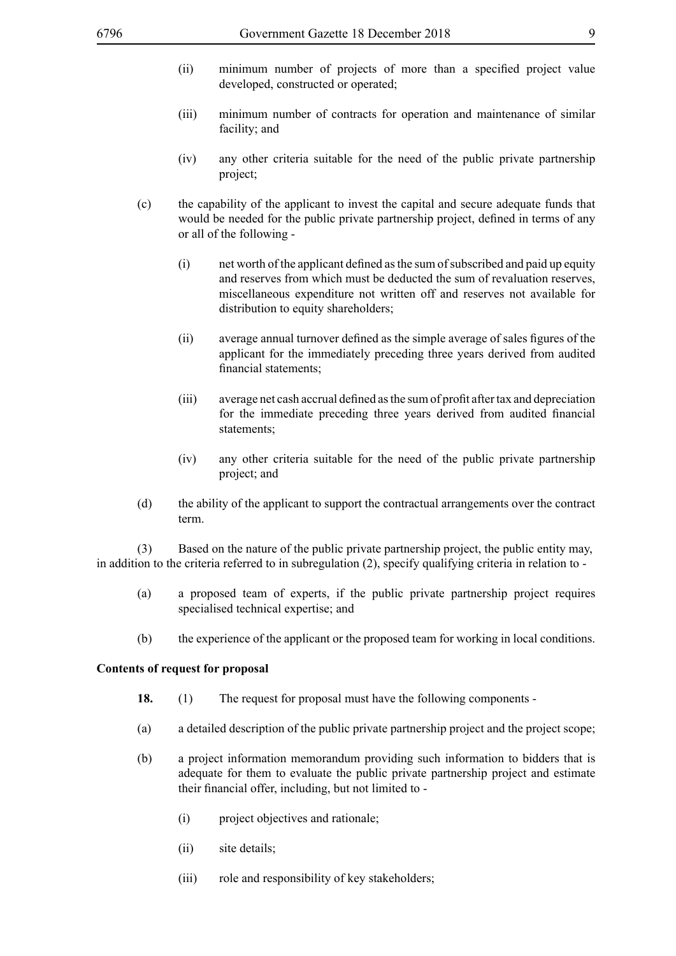- (ii) minimum number of projects of more than a specified project value developed, constructed or operated;
- (iii) minimum number of contracts for operation and maintenance of similar facility; and
- (iv) any other criteria suitable for the need of the public private partnership project;
- (c) the capability of the applicant to invest the capital and secure adequate funds that would be needed for the public private partnership project, defined in terms of any or all of the following -
	- (i) net worth of the applicant defined as the sum of subscribed and paid up equity and reserves from which must be deducted the sum of revaluation reserves, miscellaneous expenditure not written off and reserves not available for distribution to equity shareholders;
	- (ii) average annual turnover defined as the simple average of sales figures of the applicant for the immediately preceding three years derived from audited financial statements;
	- (iii) average net cash accrual defined asthe sum of profit aftertax and depreciation for the immediate preceding three years derived from audited financial statements;
	- (iv) any other criteria suitable for the need of the public private partnership project; and
- (d) the ability of the applicant to support the contractual arrangements over the contract term.

(3) Based on the nature of the public private partnership project, the public entity may, in addition to the criteria referred to in subregulation (2), specify qualifying criteria in relation to -

- (a) a proposed team of experts, if the public private partnership project requires specialised technical expertise; and
- (b) the experience of the applicant or the proposed team for working in local conditions.

#### **Contents of request for proposal**

- **18.** (1) The request for proposal must have the following components -
- (a) a detailed description of the public private partnership project and the project scope;
- (b) a project information memorandum providing such information to bidders that is adequate for them to evaluate the public private partnership project and estimate their financial offer, including, but not limited to -
	- (i) project objectives and rationale;
	- (ii) site details;
	- (iii) role and responsibility of key stakeholders;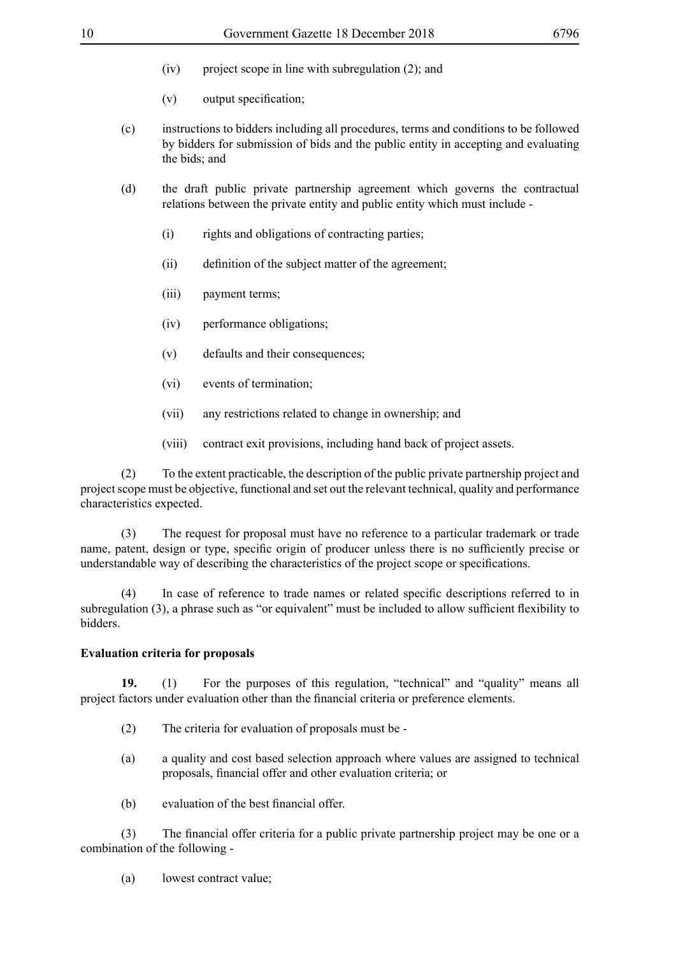- (iv) project scope in line with subregulation (2); and
- (v) output specification;
- (c) instructions to bidders including all procedures, terms and conditions to be followed by bidders for submission of bids and the public entity in accepting and evaluating the bids; and
- (d) the draft public private partnership agreement which governs the contractual relations between the private entity and public entity which must include -
	- (i) rights and obligations of contracting parties;
	- (ii) definition of the subject matter of the agreement;
	- (iii) payment terms;
	- (iv) performance obligations;
	- (v) defaults and their consequences;
	- (vi) events of termination;
	- (vii) any restrictions related to change in ownership; and
	- (viii) contract exit provisions, including hand back of project assets.

(2) To the extent practicable, the description of the public private partnership project and project scope must be objective, functional and set out the relevant technical, quality and performance characteristics expected.

(3) The request for proposal must have no reference to a particular trademark or trade name, patent, design or type, specific origin of producer unless there is no sufficiently precise or understandable way of describing the characteristics of the project scope or specifications.

(4) In case of reference to trade names or related specific descriptions referred to in subregulation (3), a phrase such as "or equivalent" must be included to allow sufficient flexibility to **bidders** 

## **Evaluation criteria for proposals**

**19.** (1) For the purposes of this regulation, "technical" and "quality" means all project factors under evaluation other than the financial criteria or preference elements.

- (2) The criteria for evaluation of proposals must be -
- (a) a quality and cost based selection approach where values are assigned to technical proposals, financial offer and other evaluation criteria; or
- (b) evaluation of the best financial offer.

(3) The financial offer criteria for a public private partnership project may be one or a combination of the following -

(a) lowest contract value;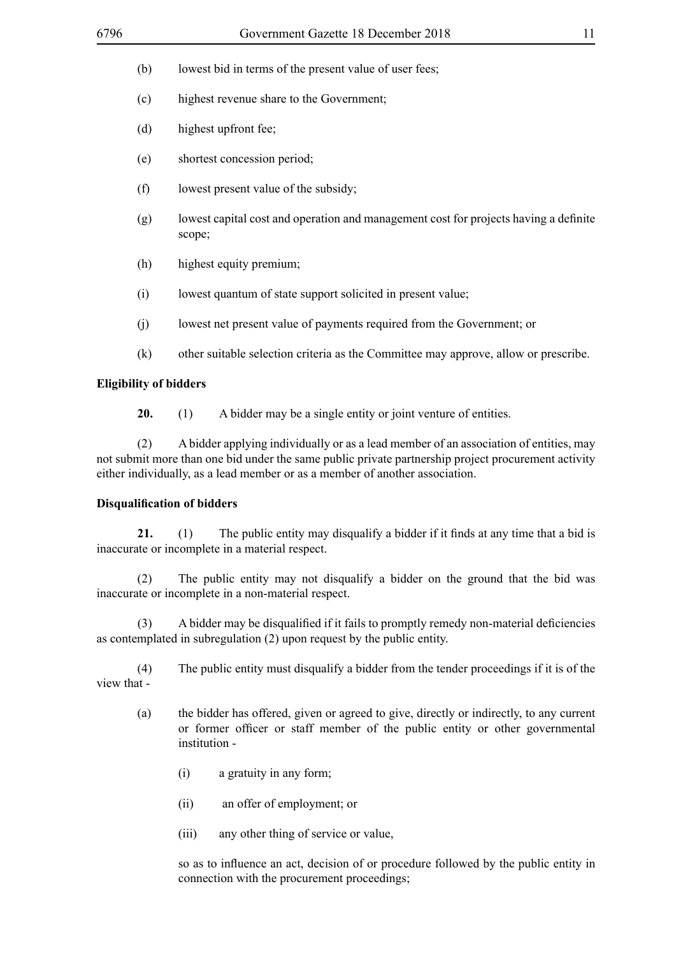- (b) lowest bid in terms of the present value of user fees;
- (c) highest revenue share to the Government;
- (d) highest upfront fee;
- (e) shortest concession period;
- (f) lowest present value of the subsidy;
- (g) lowest capital cost and operation and management cost for projects having a definite scope;
- (h) highest equity premium;
- (i) lowest quantum of state support solicited in present value;
- (j) lowest net present value of payments required from the Government; or
- (k) other suitable selection criteria as the Committee may approve, allow or prescribe.

## **Eligibility of bidders**

20. (1) A bidder may be a single entity or joint venture of entities.

(2) A bidder applying individually or as a lead member of an association of entities, may not submit more than one bid under the same public private partnership project procurement activity either individually, as a lead member or as a member of another association.

## **Disqualification of bidders**

**21.** (1) The public entity may disqualify a bidder if it finds at any time that a bid is inaccurate or incomplete in a material respect.

(2) The public entity may not disqualify a bidder on the ground that the bid was inaccurate or incomplete in a non-material respect.

(3) A bidder may be disqualified if it fails to promptly remedy non-material deficiencies as contemplated in subregulation (2) upon request by the public entity.

(4) The public entity must disqualify a bidder from the tender proceedings if it is of the view that -

- (a) the bidder has offered, given or agreed to give, directly or indirectly, to any current or former officer or staff member of the public entity or other governmental institution -
	- (i) a gratuity in any form;
	- (ii) an offer of employment; or
	- (iii) any other thing of service or value,

so as to influence an act, decision of or procedure followed by the public entity in connection with the procurement proceedings;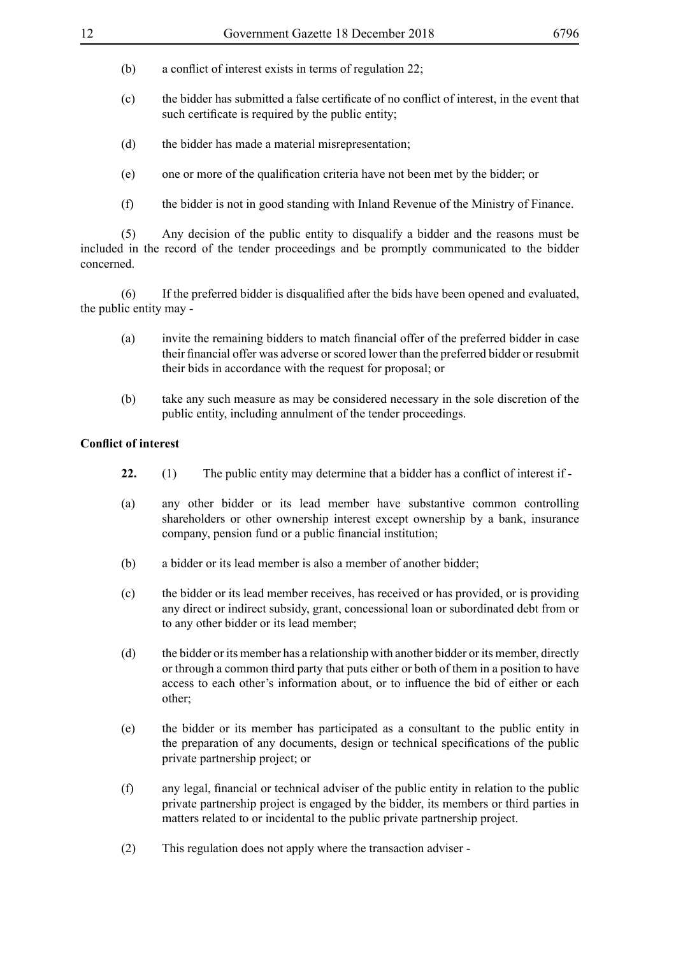- (b) a conflict of interest exists in terms of regulation 22;
- (c) the bidder has submitted a false certificate of no conflict of interest, in the event that such certificate is required by the public entity;
- (d) the bidder has made a material misrepresentation;
- (e) one or more of the qualification criteria have not been met by the bidder; or
- (f) the bidder is not in good standing with Inland Revenue of the Ministry of Finance.

(5) Any decision of the public entity to disqualify a bidder and the reasons must be included in the record of the tender proceedings and be promptly communicated to the bidder concerned.

(6) If the preferred bidder is disqualified after the bids have been opened and evaluated, the public entity may -

- (a) invite the remaining bidders to match financial offer of the preferred bidder in case their financial offer was adverse or scored lower than the preferred bidder or resubmit their bids in accordance with the request for proposal; or
- (b) take any such measure as may be considered necessary in the sole discretion of the public entity, including annulment of the tender proceedings.

## **Conflict of interest**

- **22.** (1) The public entity may determine that a bidder has a conflict of interest if -
- (a) any other bidder or its lead member have substantive common controlling shareholders or other ownership interest except ownership by a bank, insurance company, pension fund or a public financial institution;
- (b) a bidder or its lead member is also a member of another bidder;
- (c) the bidder or its lead member receives, has received or has provided, or is providing any direct or indirect subsidy, grant, concessional loan or subordinated debt from or to any other bidder or its lead member;
- (d) the bidder or its member has a relationship with another bidder or its member, directly or through a common third party that puts either or both of them in a position to have access to each other's information about, or to influence the bid of either or each other;
- (e) the bidder or its member has participated as a consultant to the public entity in the preparation of any documents, design or technical specifications of the public private partnership project; or
- (f) any legal, financial or technical adviser of the public entity in relation to the public private partnership project is engaged by the bidder, its members or third parties in matters related to or incidental to the public private partnership project.
- (2) This regulation does not apply where the transaction adviser -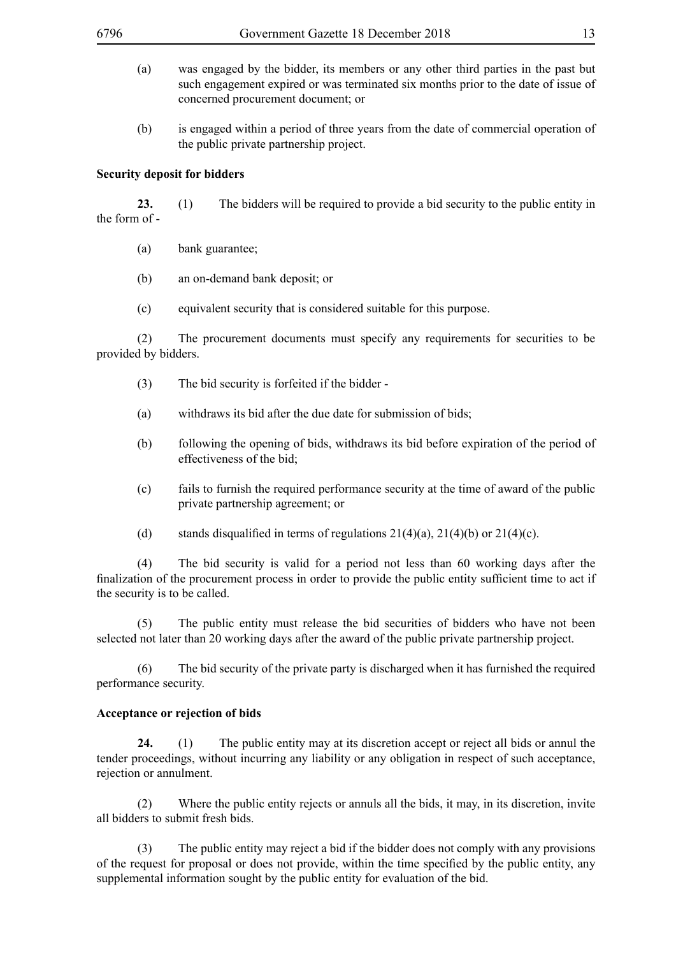- (a) was engaged by the bidder, its members or any other third parties in the past but such engagement expired or was terminated six months prior to the date of issue of concerned procurement document; or
- (b) is engaged within a period of three years from the date of commercial operation of the public private partnership project.

#### **Security deposit for bidders**

**23.** (1) The bidders will be required to provide a bid security to the public entity in the form of -

- (a) bank guarantee;
- (b) an on-demand bank deposit; or
- (c) equivalent security that is considered suitable for this purpose.

(2) The procurement documents must specify any requirements for securities to be provided by bidders.

- (3) The bid security is forfeited if the bidder -
- (a) withdraws its bid after the due date for submission of bids;
- (b) following the opening of bids, withdraws its bid before expiration of the period of effectiveness of the bid;
- (c) fails to furnish the required performance security at the time of award of the public private partnership agreement; or
- (d) stands disqualified in terms of regulations  $21(4)(a)$ ,  $21(4)(b)$  or  $21(4)(c)$ .

(4) The bid security is valid for a period not less than 60 working days after the finalization of the procurement process in order to provide the public entity sufficient time to act if the security is to be called.

(5) The public entity must release the bid securities of bidders who have not been selected not later than 20 working days after the award of the public private partnership project.

(6) The bid security of the private party is discharged when it has furnished the required performance security.

#### **Acceptance or rejection of bids**

**24.** (1) The public entity may at its discretion accept or reject all bids or annul the tender proceedings, without incurring any liability or any obligation in respect of such acceptance, rejection or annulment.

(2) Where the public entity rejects or annuls all the bids, it may, in its discretion, invite all bidders to submit fresh bids.

(3) The public entity may reject a bid if the bidder does not comply with any provisions of the request for proposal or does not provide, within the time specified by the public entity, any supplemental information sought by the public entity for evaluation of the bid.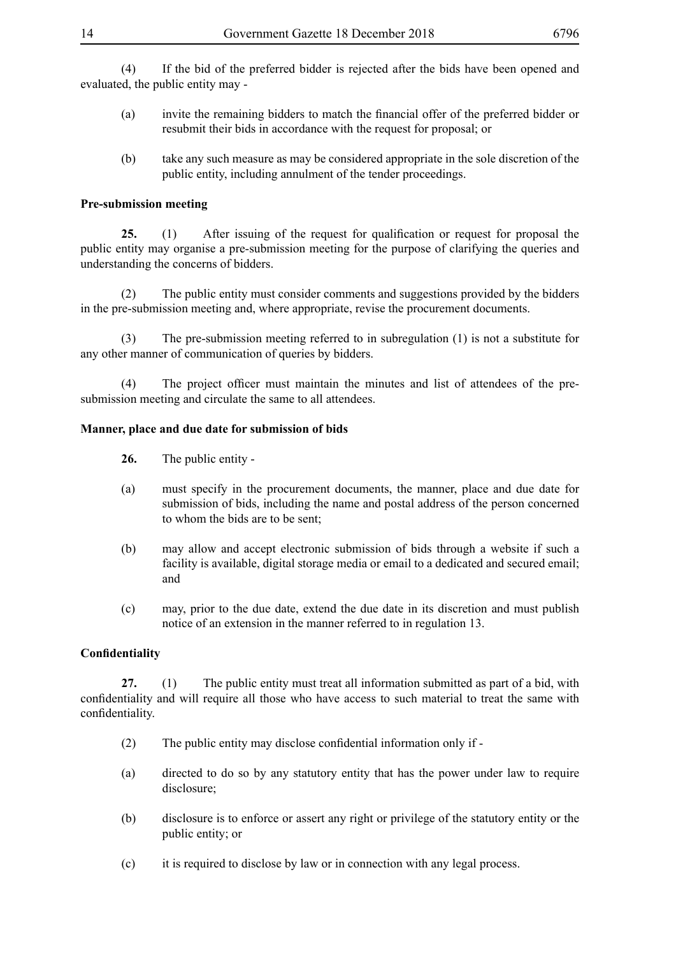(4) If the bid of the preferred bidder is rejected after the bids have been opened and evaluated, the public entity may -

- (a) invite the remaining bidders to match the financial offer of the preferred bidder or resubmit their bids in accordance with the request for proposal; or
- (b) take any such measure as may be considered appropriate in the sole discretion of the public entity, including annulment of the tender proceedings.

## **Pre-submission meeting**

**25.** (1) After issuing of the request for qualification or request for proposal the public entity may organise a pre-submission meeting for the purpose of clarifying the queries and understanding the concerns of bidders.

(2) The public entity must consider comments and suggestions provided by the bidders in the pre-submission meeting and, where appropriate, revise the procurement documents.

(3) The pre-submission meeting referred to in subregulation (1) is not a substitute for any other manner of communication of queries by bidders.

(4) The project officer must maintain the minutes and list of attendees of the presubmission meeting and circulate the same to all attendees.

## **Manner, place and due date for submission of bids**

**26.** The public entity -

- (a) must specify in the procurement documents, the manner, place and due date for submission of bids, including the name and postal address of the person concerned to whom the bids are to be sent;
- (b) may allow and accept electronic submission of bids through a website if such a facility is available, digital storage media or email to a dedicated and secured email; and
- (c) may, prior to the due date, extend the due date in its discretion and must publish notice of an extension in the manner referred to in regulation 13.

## **Confidentiality**

**27.** (1) The public entity must treat all information submitted as part of a bid, with confidentiality and will require all those who have access to such material to treat the same with confidentiality.

- (2) The public entity may disclose confidential information only if  $-$
- (a) directed to do so by any statutory entity that has the power under law to require disclosure;
- (b) disclosure is to enforce or assert any right or privilege of the statutory entity or the public entity; or
- (c) it is required to disclose by law or in connection with any legal process.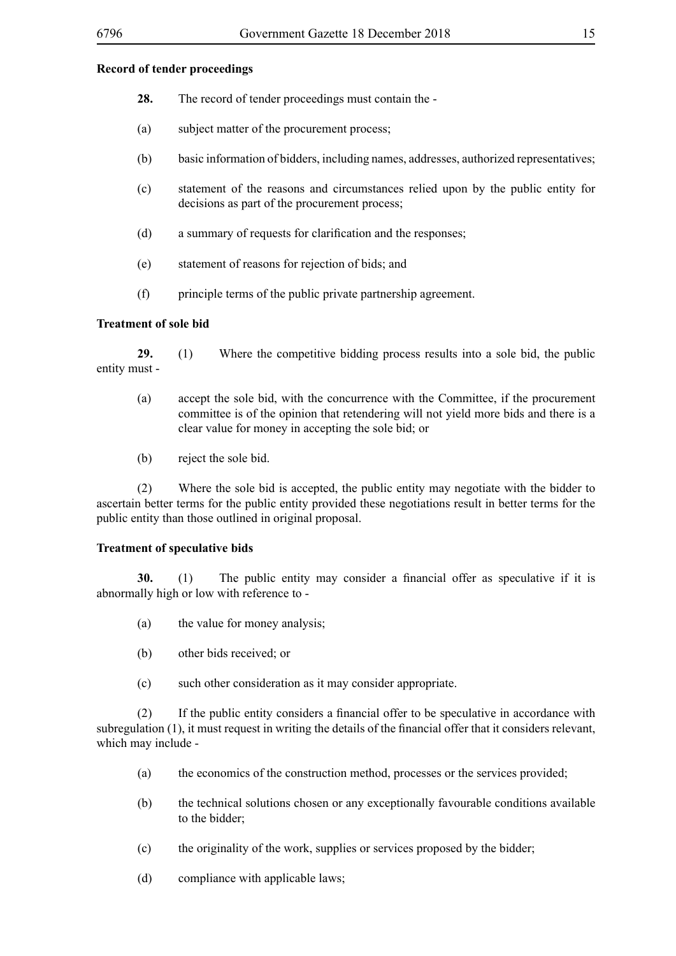## **Record of tender proceedings**

- **28.** The record of tender proceedings must contain the -
- (a) subject matter of the procurement process;
- (b) basic information of bidders, including names, addresses, authorized representatives;
- (c) statement of the reasons and circumstances relied upon by the public entity for decisions as part of the procurement process;
- (d) a summary of requests for clarification and the responses;
- (e) statement of reasons for rejection of bids; and
- (f) principle terms of the public private partnership agreement.

## **Treatment of sole bid**

**29.** (1) Where the competitive bidding process results into a sole bid, the public entity must -

- (a) accept the sole bid, with the concurrence with the Committee, if the procurement committee is of the opinion that retendering will not yield more bids and there is a clear value for money in accepting the sole bid; or
- (b) reject the sole bid.

(2) Where the sole bid is accepted, the public entity may negotiate with the bidder to ascertain better terms for the public entity provided these negotiations result in better terms for the public entity than those outlined in original proposal.

## **Treatment of speculative bids**

**30.** (1) The public entity may consider a financial offer as speculative if it is abnormally high or low with reference to -

- (a) the value for money analysis;
- (b) other bids received; or
- (c) such other consideration as it may consider appropriate.

(2) If the public entity considers a financial offer to be speculative in accordance with subregulation (1), it must request in writing the details of the financial offer that it considers relevant, which may include -

- (a) the economics of the construction method, processes or the services provided;
- (b) the technical solutions chosen or any exceptionally favourable conditions available to the bidder;
- (c) the originality of the work, supplies or services proposed by the bidder;
- (d) compliance with applicable laws;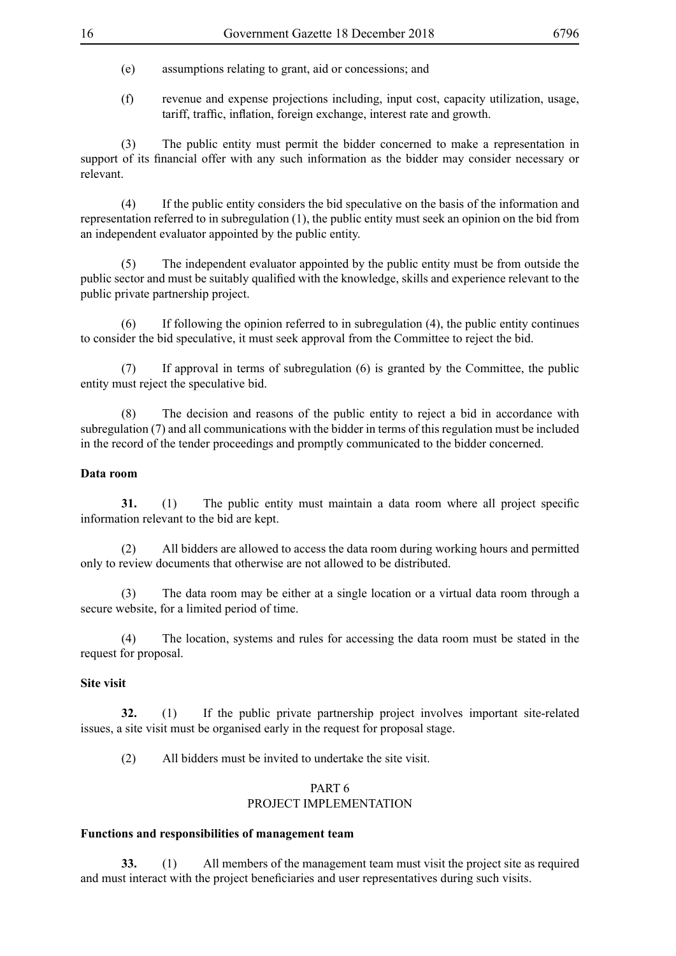- (e) assumptions relating to grant, aid or concessions; and
- (f) revenue and expense projections including, input cost, capacity utilization, usage, tariff, traffic, inflation, foreign exchange, interest rate and growth.

(3) The public entity must permit the bidder concerned to make a representation in support of its financial offer with any such information as the bidder may consider necessary or relevant.

(4) If the public entity considers the bid speculative on the basis of the information and representation referred to in subregulation (1), the public entity must seek an opinion on the bid from an independent evaluator appointed by the public entity.

(5) The independent evaluator appointed by the public entity must be from outside the public sector and must be suitably qualified with the knowledge, skills and experience relevant to the public private partnership project.

(6) If following the opinion referred to in subregulation (4), the public entity continues to consider the bid speculative, it must seek approval from the Committee to reject the bid.

(7) If approval in terms of subregulation (6) is granted by the Committee, the public entity must reject the speculative bid.

(8) The decision and reasons of the public entity to reject a bid in accordance with subregulation (7) and all communications with the bidder in terms of this regulation must be included in the record of the tender proceedings and promptly communicated to the bidder concerned.

## **Data room**

**31.** (1) The public entity must maintain a data room where all project specific information relevant to the bid are kept.

(2) All bidders are allowed to access the data room during working hours and permitted only to review documents that otherwise are not allowed to be distributed.

(3) The data room may be either at a single location or a virtual data room through a secure website, for a limited period of time.

(4) The location, systems and rules for accessing the data room must be stated in the request for proposal.

#### **Site visit**

**32.** (1) If the public private partnership project involves important site-related issues, a site visit must be organised early in the request for proposal stage.

(2) All bidders must be invited to undertake the site visit.

## PART 6 PROJECT IMPLEMENTATION

#### **Functions and responsibilities of management team**

**33.** (1) All members of the management team must visit the project site as required and must interact with the project beneficiaries and user representatives during such visits.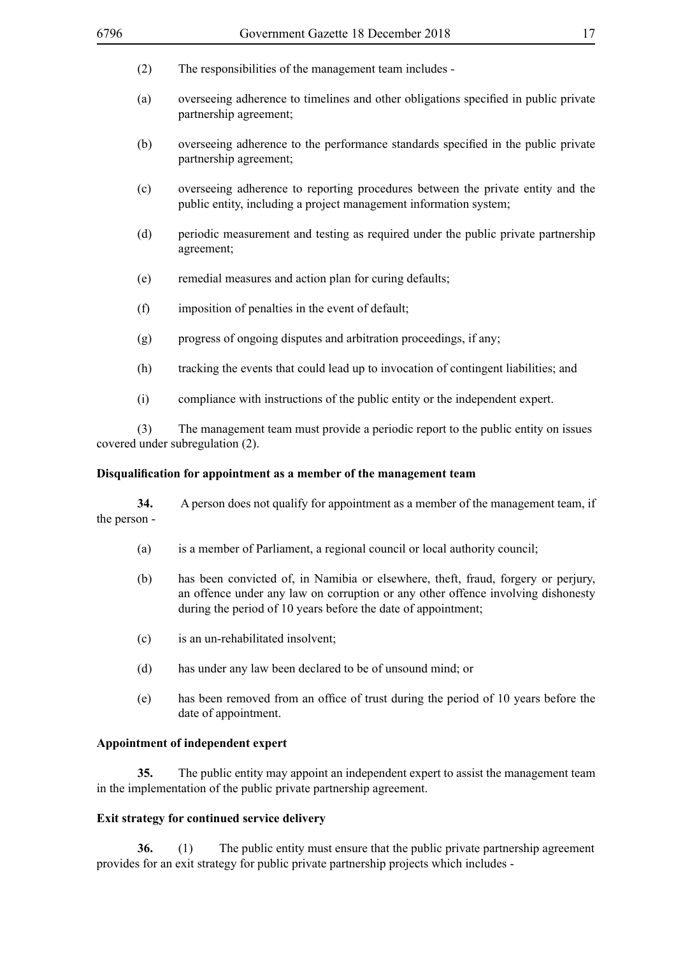| 6796                                                                | Government Gazette 18 December 2018<br>17                                                                                                                                                                                              |
|---------------------------------------------------------------------|----------------------------------------------------------------------------------------------------------------------------------------------------------------------------------------------------------------------------------------|
| (2)                                                                 | The responsibilities of the management team includes -                                                                                                                                                                                 |
| (a)                                                                 | overseeing adherence to timelines and other obligations specified in public private<br>partnership agreement;                                                                                                                          |
| (b)                                                                 | overseeing adherence to the performance standards specified in the public private<br>partnership agreement;                                                                                                                            |
| (c)                                                                 | overseeing adherence to reporting procedures between the private entity and the<br>public entity, including a project management information system;                                                                                   |
| (d)                                                                 | periodic measurement and testing as required under the public private partnership<br>agreement;                                                                                                                                        |
| (e)                                                                 | remedial measures and action plan for curing defaults;                                                                                                                                                                                 |
| (f)                                                                 | imposition of penalties in the event of default;                                                                                                                                                                                       |
| (g)                                                                 | progress of ongoing disputes and arbitration proceedings, if any;                                                                                                                                                                      |
| (h)                                                                 | tracking the events that could lead up to invocation of contingent liabilities; and                                                                                                                                                    |
| (i)                                                                 | compliance with instructions of the public entity or the independent expert.                                                                                                                                                           |
| (3)                                                                 | The management team must provide a periodic report to the public entity on issues<br>covered under subregulation (2).                                                                                                                  |
| Disqualification for appointment as a member of the management team |                                                                                                                                                                                                                                        |
| 34.<br>the person -                                                 | A person does not qualify for appointment as a member of the management team, if                                                                                                                                                       |
| (a)                                                                 | is a member of Parliament, a regional council or local authority council;                                                                                                                                                              |
| (b)                                                                 | has been convicted of, in Namibia or elsewhere, theft, fraud, forgery or perjury,<br>an offence under any law on corruption or any other offence involving dishonesty<br>during the period of 10 years before the date of appointment; |

- (c) is an un-rehabilitated insolvent;
- (d) has under any law been declared to be of unsound mind; or
- (e) has been removed from an office of trust during the period of 10 years before the date of appointment.

## **Appointment of independent expert**

**35.** The public entity may appoint an independent expert to assist the management team in the implementation of the public private partnership agreement.

## **Exit strategy for continued service delivery**

**36.** (1) The public entity must ensure that the public private partnership agreement provides for an exit strategy for public private partnership projects which includes -